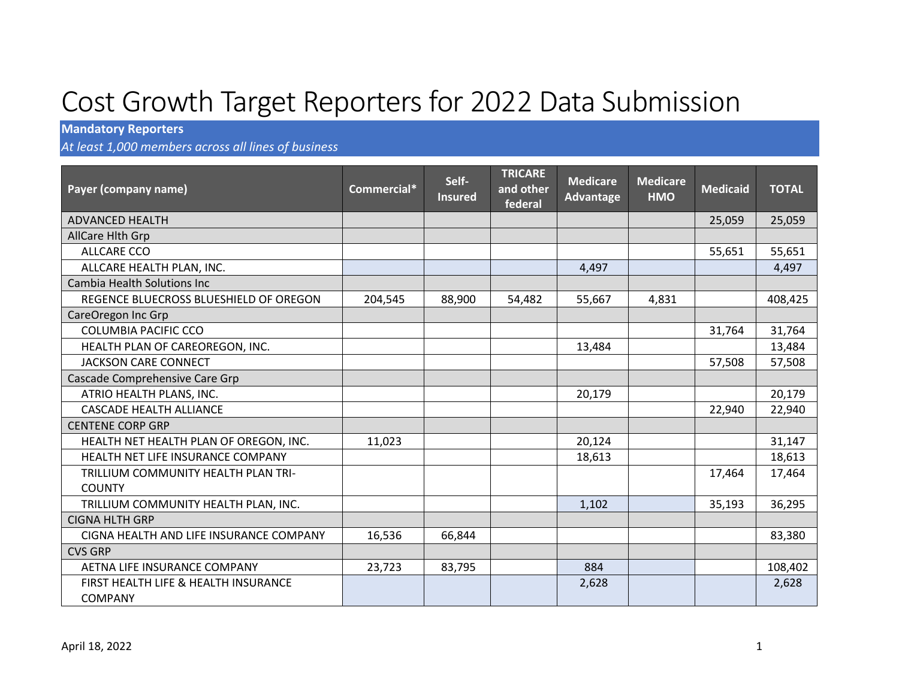## Cost Growth Target Reporters for 2022 Data Submission

## **Mandatory Reporters**

*At least 1,000 members across all lines of business*

| Payer (company name)                    | Commercial* | Self-<br><b>Insured</b> | <b>TRICARE</b><br>and other<br>federal | <b>Medicare</b><br>Advantage | <b>Medicare</b><br><b>HMO</b> | <b>Medicaid</b> | <b>TOTAL</b> |
|-----------------------------------------|-------------|-------------------------|----------------------------------------|------------------------------|-------------------------------|-----------------|--------------|
| <b>ADVANCED HEALTH</b>                  |             |                         |                                        |                              |                               | 25,059          | 25,059       |
| AllCare Hith Grp                        |             |                         |                                        |                              |                               |                 |              |
| ALLCARE CCO                             |             |                         |                                        |                              |                               | 55,651          | 55,651       |
| ALLCARE HEALTH PLAN, INC.               |             |                         |                                        | 4,497                        |                               |                 | 4,497        |
| <b>Cambia Health Solutions Inc.</b>     |             |                         |                                        |                              |                               |                 |              |
| REGENCE BLUECROSS BLUESHIELD OF OREGON  | 204,545     | 88,900                  | 54,482                                 | 55,667                       | 4,831                         |                 | 408,425      |
| CareOregon Inc Grp                      |             |                         |                                        |                              |                               |                 |              |
| <b>COLUMBIA PACIFIC CCO</b>             |             |                         |                                        |                              |                               | 31,764          | 31,764       |
| HEALTH PLAN OF CAREOREGON, INC.         |             |                         |                                        | 13,484                       |                               |                 | 13,484       |
| <b>JACKSON CARE CONNECT</b>             |             |                         |                                        |                              |                               | 57,508          | 57,508       |
| Cascade Comprehensive Care Grp          |             |                         |                                        |                              |                               |                 |              |
| ATRIO HEALTH PLANS, INC.                |             |                         |                                        | 20,179                       |                               |                 | 20,179       |
| <b>CASCADE HEALTH ALLIANCE</b>          |             |                         |                                        |                              |                               | 22,940          | 22,940       |
| <b>CENTENE CORP GRP</b>                 |             |                         |                                        |                              |                               |                 |              |
| HEALTH NET HEALTH PLAN OF OREGON, INC.  | 11,023      |                         |                                        | 20,124                       |                               |                 | 31,147       |
| HEALTH NET LIFE INSURANCE COMPANY       |             |                         |                                        | 18,613                       |                               |                 | 18,613       |
| TRILLIUM COMMUNITY HEALTH PLAN TRI-     |             |                         |                                        |                              |                               | 17,464          | 17,464       |
| <b>COUNTY</b>                           |             |                         |                                        |                              |                               |                 |              |
| TRILLIUM COMMUNITY HEALTH PLAN, INC.    |             |                         |                                        | 1,102                        |                               | 35,193          | 36,295       |
| <b>CIGNA HLTH GRP</b>                   |             |                         |                                        |                              |                               |                 |              |
| CIGNA HEALTH AND LIFE INSURANCE COMPANY | 16,536      | 66,844                  |                                        |                              |                               |                 | 83,380       |
| <b>CVS GRP</b>                          |             |                         |                                        |                              |                               |                 |              |
| AETNA LIFE INSURANCE COMPANY            | 23,723      | 83,795                  |                                        | 884                          |                               |                 | 108,402      |
| FIRST HEALTH LIFE & HEALTH INSURANCE    |             |                         |                                        | 2,628                        |                               |                 | 2,628        |
| <b>COMPANY</b>                          |             |                         |                                        |                              |                               |                 |              |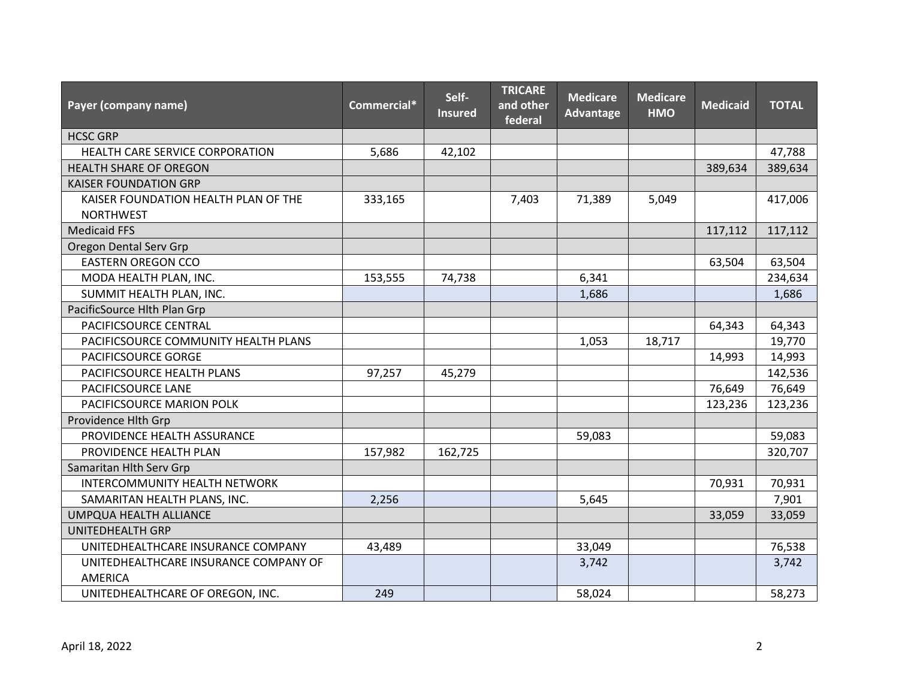| Payer (company name)                                    | Commercial* | Self-<br><b>Insured</b> | <b>TRICARE</b><br>and other<br>federal | <b>Medicare</b><br><b>Advantage</b> | <b>Medicare</b><br><b>HMO</b> | <b>Medicaid</b> | <b>TOTAL</b> |
|---------------------------------------------------------|-------------|-------------------------|----------------------------------------|-------------------------------------|-------------------------------|-----------------|--------------|
| <b>HCSC GRP</b>                                         |             |                         |                                        |                                     |                               |                 |              |
| HEALTH CARE SERVICE CORPORATION                         | 5,686       | 42,102                  |                                        |                                     |                               |                 | 47,788       |
| HEALTH SHARE OF OREGON                                  |             |                         |                                        |                                     |                               | 389,634         | 389,634      |
| <b>KAISER FOUNDATION GRP</b>                            |             |                         |                                        |                                     |                               |                 |              |
| KAISER FOUNDATION HEALTH PLAN OF THE                    | 333,165     |                         | 7,403                                  | 71,389                              | 5,049                         |                 | 417,006      |
| <b>NORTHWEST</b>                                        |             |                         |                                        |                                     |                               |                 |              |
| <b>Medicaid FFS</b>                                     |             |                         |                                        |                                     |                               | 117,112         | 117,112      |
| Oregon Dental Serv Grp                                  |             |                         |                                        |                                     |                               |                 |              |
| <b>EASTERN OREGON CCO</b>                               |             |                         |                                        |                                     |                               | 63,504          | 63,504       |
| MODA HEALTH PLAN, INC.                                  | 153,555     | 74,738                  |                                        | 6,341                               |                               |                 | 234,634      |
| SUMMIT HEALTH PLAN, INC.                                |             |                         |                                        | 1,686                               |                               |                 | 1,686        |
| PacificSource Hlth Plan Grp                             |             |                         |                                        |                                     |                               |                 |              |
| PACIFICSOURCE CENTRAL                                   |             |                         |                                        |                                     |                               | 64,343          | 64,343       |
| PACIFICSOURCE COMMUNITY HEALTH PLANS                    |             |                         |                                        | 1,053                               | 18,717                        |                 | 19,770       |
| PACIFICSOURCE GORGE                                     |             |                         |                                        |                                     |                               | 14,993          | 14,993       |
| PACIFICSOURCE HEALTH PLANS                              | 97,257      | 45,279                  |                                        |                                     |                               |                 | 142,536      |
| PACIFICSOURCE LANE                                      |             |                         |                                        |                                     |                               | 76,649          | 76,649       |
| PACIFICSOURCE MARION POLK                               |             |                         |                                        |                                     |                               | 123,236         | 123,236      |
| Providence Hlth Grp                                     |             |                         |                                        |                                     |                               |                 |              |
| PROVIDENCE HEALTH ASSURANCE                             |             |                         |                                        | 59,083                              |                               |                 | 59,083       |
| PROVIDENCE HEALTH PLAN                                  | 157,982     | 162,725                 |                                        |                                     |                               |                 | 320,707      |
| Samaritan Hlth Serv Grp                                 |             |                         |                                        |                                     |                               |                 |              |
| INTERCOMMUNITY HEALTH NETWORK                           |             |                         |                                        |                                     |                               | 70,931          | 70,931       |
| SAMARITAN HEALTH PLANS, INC.                            | 2,256       |                         |                                        | 5,645                               |                               |                 | 7,901        |
| UMPQUA HEALTH ALLIANCE                                  |             |                         |                                        |                                     |                               | 33,059          | 33,059       |
| <b>UNITEDHEALTH GRP</b>                                 |             |                         |                                        |                                     |                               |                 |              |
| UNITEDHEALTHCARE INSURANCE COMPANY                      | 43,489      |                         |                                        | 33,049                              |                               |                 | 76,538       |
| UNITEDHEALTHCARE INSURANCE COMPANY OF<br><b>AMERICA</b> |             |                         |                                        | 3,742                               |                               |                 | 3,742        |
| UNITEDHEALTHCARE OF OREGON, INC.                        | 249         |                         |                                        | 58,024                              |                               |                 | 58,273       |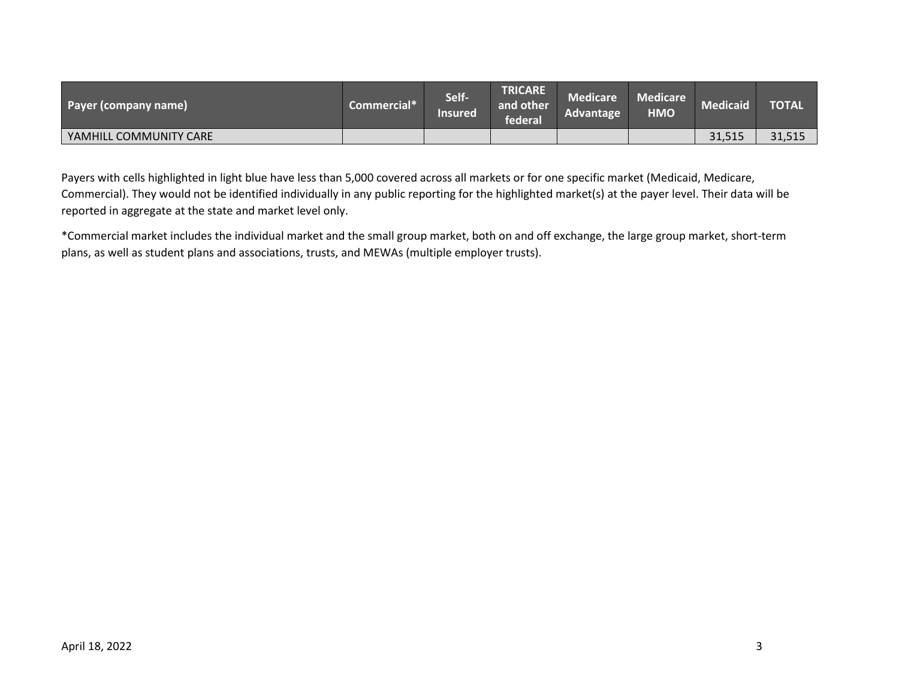| Payer (company name)   | Commercial* | Self-<br><b>Insured</b> | <b>TRICARE</b><br>and other<br><b>\federal\</b> | <b>Medicare</b><br><b>Advantage</b> | <b>Medicare</b><br><b>HMO</b> | Medicaid <sup>®</sup> | <b>TOTAL</b> |
|------------------------|-------------|-------------------------|-------------------------------------------------|-------------------------------------|-------------------------------|-----------------------|--------------|
| YAMHILL COMMUNITY CARE |             |                         |                                                 |                                     |                               | 31,515                | 31,515       |

Payers with cells highlighted in light blue have less than 5,000 covered across all markets or for one specific market (Medicaid, Medicare, Commercial). They would not be identified individually in any public reporting for the highlighted market(s) at the payer level. Their data will be reported in aggregate at the state and market level only.

\*Commercial market includes the individual market and the small group market, both on and off exchange, the large group market, short-term plans, as well as student plans and associations, trusts, and MEWAs (multiple employer trusts).